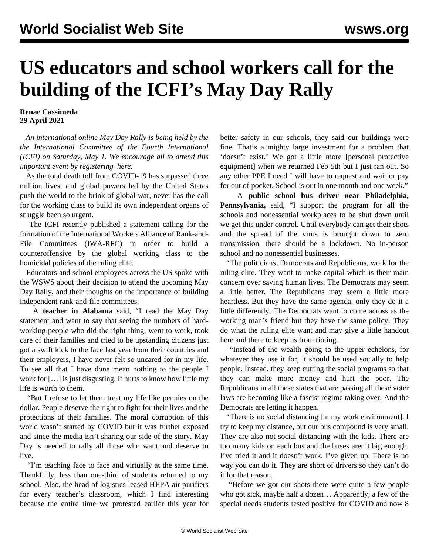## **US educators and school workers call for the building of the ICFI's May Day Rally**

**Renae Cassimeda 29 April 2021**

 *An international online May Day Rally is being held by the the International Committee of the Fourth International (ICFI) on Saturday, May 1. We encourage all to attend this important event by registering [here.](/en/special/pages/international-mayday-online-rally-2021.html)*

 As the total death toll from COVID-19 has surpassed three million lives, and global powers led by the United States push the world to the brink of global war, never has the call for the working class to build its own independent organs of struggle been so urgent.

 The ICFI recently published a [statement](/en/articles/2021/04/24/pers-a24.html) calling for the formation of the International Workers Alliance of Rank-and-File Committees (IWA-RFC) in order to build a counteroffensive by the global working class to the homicidal policies of the ruling elite.

 Educators and school employees across the US spoke with the WSWS about their decision to attend the upcoming May Day Rally, and their thoughts on the importance of building independent rank-and-file committees.

 A **teacher in Alabama** said, "I read the May Day statement and want to say that seeing the numbers of hardworking people who did the right thing, went to work, took care of their families and tried to be upstanding citizens just got a swift kick to the face last year from their countries and their employers, I have never felt so uncared for in my life. To see all that I have done mean nothing to the people I work for […] is just disgusting. It hurts to know how little my life is worth to them.

 "But I refuse to let them treat my life like pennies on the dollar. People deserve the right to fight for their lives and the protections of their families. The moral corruption of this world wasn't started by COVID but it was further exposed and since the media isn't sharing our side of the story, May Day is needed to rally all those who want and deserve to live.

 "I'm teaching face to face and virtually at the same time. Thankfully, less than one-third of students returned to my school. Also, the head of logistics leased HEPA air purifiers for every teacher's classroom, which I find interesting because the entire time we protested earlier this year for better safety in our schools, they said our buildings were fine. That's a mighty large investment for a problem that 'doesn't exist.' We got a little more [personal protective equipment] when we returned Feb 5th but I just ran out. So any other PPE I need I will have to request and wait or pay for out of pocket. School is out in one month and one week."

 A **public school bus driver near Philadelphia, Pennsylvania,** said, "I support the program for all the schools and nonessential workplaces to be shut down until we get this under control. Until everybody can get their shots and the spread of the virus is brought down to zero transmission, there should be a lockdown. No in-person school and no nonessential businesses.

 "The politicians, Democrats and Republicans, work for the ruling elite. They want to make capital which is their main concern over saving human lives. The Democrats may seem a little better. The Republicans may seem a little more heartless. But they have the same agenda, only they do it a little differently. The Democrats want to come across as the working man's friend but they have the same policy. They do what the ruling elite want and may give a little handout here and there to keep us from rioting.

 "Instead of the wealth going to the upper echelons, for whatever they use it for, it should be used socially to help people. Instead, they keep cutting the social programs so that they can make more money and hurt the poor. The Republicans in all these states that are passing all these voter laws are becoming like a fascist regime taking over. And the Democrats are letting it happen.

 "There is no social distancing [in my work environment]. I try to keep my distance, but our bus compound is very small. They are also not social distancing with the kids. There are too many kids on each bus and the buses aren't big enough. I've tried it and it doesn't work. I've given up. There is no way you can do it. They are short of drivers so they can't do it for that reason.

 "Before we got our shots there were quite a few people who got sick, maybe half a dozen… Apparently, a few of the special needs students tested positive for COVID and now 8